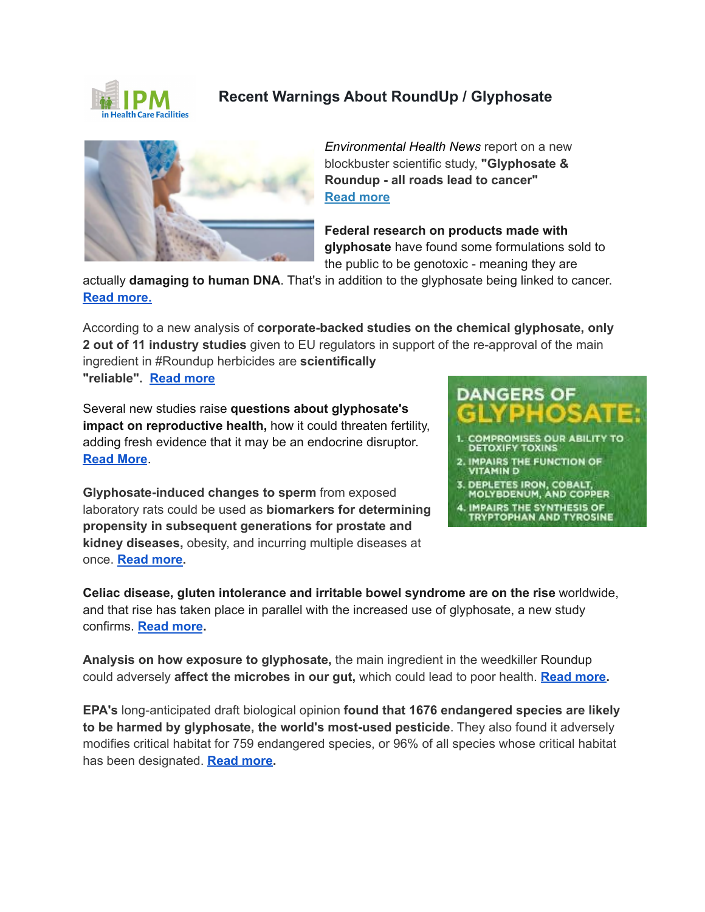

## **Recent Warnings About RoundUp / Glyphosate**



*Environmental Health News* report on a new blockbuster scientific study, **"Glyphosate & Roundup - all roads lead to cancer" [Read more](https://tinyurl.com/2p9cpnud)**

**Federal research on products made with glyphosate** have found some formulations sold to the public to be genotoxic - meaning they are

actually **damaging to human DNA**. That's in addition to the glyphosate being linked to cancer. **[Read more.](http://bit.ly/3aztFtj)**

According to a new analysis of **corporate-backed studies on the chemical glyphosate, only 2 out of 11 industry studies** given to EU regulators in support of the re-approval of the main ingredient in #Roundup herbicides are **scientifically**

**"reliable". [Read more](https://www.theguardian.com/environment/2021/nov/26/glyphosate-eu-regulators-studies-roundup-weedkiller)**

Several new studies raise **questions about glyphosate's impact on reproductive health,** how it could threaten fertility, adding fresh evidence that it may be an endocrine disruptor. **[Read More](https://tinyurl.com/yx9sy2hn)**.

**Glyphosate-induced changes to sperm** from exposed laboratory rats could be used as **biomarkers for determining propensity in subsequent generations for prostate and kidney diseases,** obesity, and incurring multiple diseases at once. **[Read more.](https://bit.ly/37RXVzf)**



**Celiac disease, gluten intolerance and irritable bowel syndrome are on the rise** worldwide, and that rise has taken place in parallel with the increased use of glyphosate, a new study confirms. **[Read more](http://bit.ly/2rLImb7).**

**Analysis on how exposure to glyphosate,** the main ingredient in the weedkiller [Roundup](https://www.facebook.com/hashtag/roundup?__eep__=6&__cft__%5B0%5D=AZXh4ybJL5SkBZJtR7RS7xBgtMyR5L2wtXtBNRrAWvAK-zhkomXYMbUjhJGq3iRYc1BvgwvNAd7HDQYSpso1n3bmdg_RSNvdR4_g1xAkT-nqkFmUGMJV_lulFmFwhVBGB5ZBwiKB87KfY6ttFYEHeOIhD-vKp74e_XYYHvFtS7D9u13-EOniPTte7e7zeKbGvTM&__tn__=*NK-R) could adversely **affect the microbes in our gut,** which could lead to poor health. **[Read more.](https://bit.ly/2V3dQ7T)**

**EPA's** long-anticipated draft biological opinion **found that 1676 endangered species are likely to be harmed by glyphosate, the world's most-used pesticide**. They also found it adversely modifies critical habitat for 759 endangered species, or 96% of all species whose critical habitat has been designated. **[Read more.](https://www.naturalblaze.com/2020/12/epa-forced-to-study-glyphosate-finds-pesticide-could-injure-or-kill-93-of-endangered-species.html)**